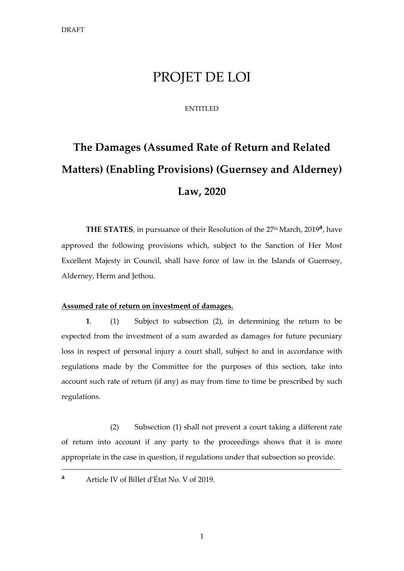## PROJET DE LOI

#### ENTITLED

# **The Damages (Assumed Rate of Return and Related Matters) (Enabling Provisions) (Guernsey and Alderney) Law, 2020**

THE STATES, in pursuance of their Resolution of the 27<sup>th</sup> March, 2019<sup>a</sup>, have approved the following provisions which, subject to the Sanction of Her Most Excellent Majesty in Council, shall have force of law in the Islands of Guernsey, Alderney, Herm and Jethou.

#### **Assumed rate of return on investment of damages.**

**1**. (1) Subject to subsection (2), in determining the return to be expected from the investment of a sum awarded as damages for future pecuniary loss in respect of personal injury a court shall, subject to and in accordance with regulations made by the Committee for the purposes of this section, take into account such rate of return (if any) as may from time to time be prescribed by such regulations.

(2) Subsection (1) shall not prevent a court taking a different rate of return into account if any party to the proceedings shows that it is more appropriate in the case in question, if regulations under that subsection so provide.

\_\_\_\_\_\_\_\_\_\_\_\_\_\_\_\_\_\_\_\_\_\_\_\_\_\_\_\_\_\_\_\_\_\_\_\_\_\_\_\_\_\_\_\_\_\_\_\_\_\_\_\_\_\_\_\_\_\_\_\_\_\_\_\_\_\_\_\_\_

**<sup>a</sup>** Article IV of Billet d'État No. V of 2019.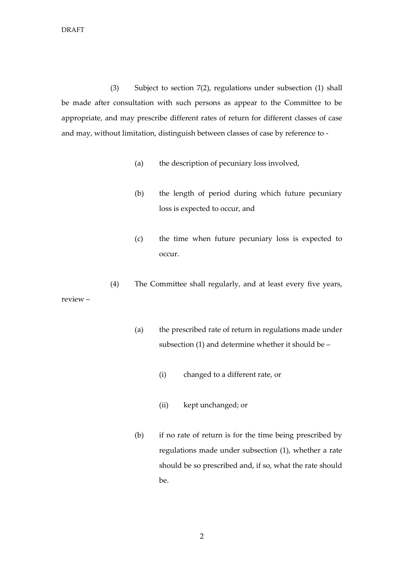(3) Subject to section 7(2), regulations under subsection (1) shall be made after consultation with such persons as appear to the Committee to be appropriate, and may prescribe different rates of return for different classes of case and may, without limitation, distinguish between classes of case by reference to -

- (a) the description of pecuniary loss involved,
- (b) the length of period during which future pecuniary loss is expected to occur, and
- (c) the time when future pecuniary loss is expected to occur.
- (4) The Committee shall regularly, and at least every five years, review –
	- (a) the prescribed rate of return in regulations made under subsection (1) and determine whether it should be –
		- (i) changed to a different rate, or
		- (ii) kept unchanged; or
	- (b) if no rate of return is for the time being prescribed by regulations made under subsection (1), whether a rate should be so prescribed and, if so, what the rate should be.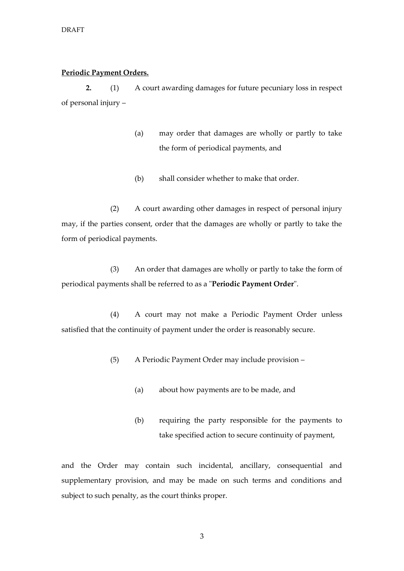#### **Periodic Payment Orders.**

**2.** (1) A court awarding damages for future pecuniary loss in respect of personal injury –

- (a) may order that damages are wholly or partly to take the form of periodical payments, and
- (b) shall consider whether to make that order.

(2) A court awarding other damages in respect of personal injury may, if the parties consent, order that the damages are wholly or partly to take the form of periodical payments.

(3) An order that damages are wholly or partly to take the form of periodical payments shall be referred to as a "**Periodic Payment Order**".

(4) A court may not make a Periodic Payment Order unless satisfied that the continuity of payment under the order is reasonably secure.

- (5) A Periodic Payment Order may include provision
	- (a) about how payments are to be made, and
	- (b) requiring the party responsible for the payments to take specified action to secure continuity of payment,

and the Order may contain such incidental, ancillary, consequential and supplementary provision, and may be made on such terms and conditions and subject to such penalty, as the court thinks proper.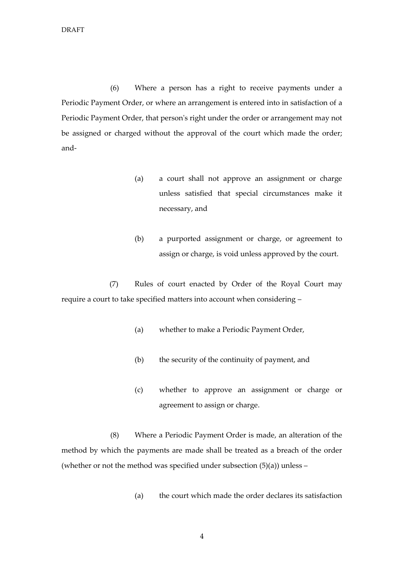(6) Where a person has a right to receive payments under a Periodic Payment Order, or where an arrangement is entered into in satisfaction of a Periodic Payment Order, that person's right under the order or arrangement may not be assigned or charged without the approval of the court which made the order; and-

- (a) a court shall not approve an assignment or charge unless satisfied that special circumstances make it necessary, and
- (b) a purported assignment or charge, or agreement to assign or charge, is void unless approved by the court.

(7) Rules of court enacted by Order of the Royal Court may require a court to take specified matters into account when considering –

- (a) whether to make a Periodic Payment Order,
- (b) the security of the continuity of payment, and
- (c) whether to approve an assignment or charge or agreement to assign or charge.

(8) Where a Periodic Payment Order is made, an alteration of the method by which the payments are made shall be treated as a breach of the order (whether or not the method was specified under subsection  $(5)(a)$ ) unless –

- (a) the court which made the order declares its satisfaction
	- 4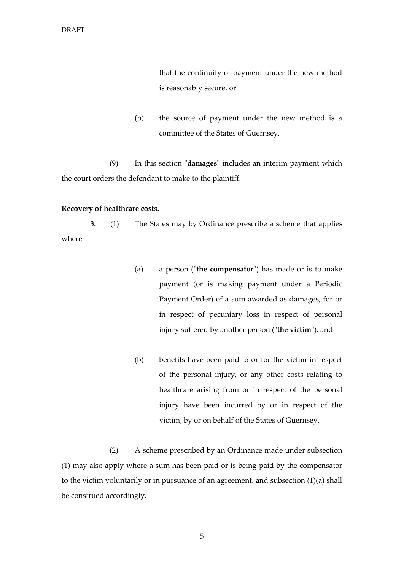that the continuity of payment under the new method is reasonably secure, or

(b) the source of payment under the new method is a committee of the States of Guernsey.

(9) In this section "**damages**" includes an interim payment which the court orders the defendant to make to the plaintiff.

#### **Recovery of healthcare costs.**

**3.** (1) The States may by Ordinance prescribe a scheme that applies where -

- (a) a person ("**the compensator**") has made or is to make payment (or is making payment under a Periodic Payment Order) of a sum awarded as damages, for or in respect of pecuniary loss in respect of personal injury suffered by another person ("**the victim**"), and
- (b) benefits have been paid to or for the victim in respect of the personal injury, or any other costs relating to healthcare arising from or in respect of the personal injury have been incurred by or in respect of the victim, by or on behalf of the States of Guernsey.

(2) A scheme prescribed by an Ordinance made under subsection (1) may also apply where a sum has been paid or is being paid by the compensator to the victim voluntarily or in pursuance of an agreement, and subsection (1)(a) shall be construed accordingly.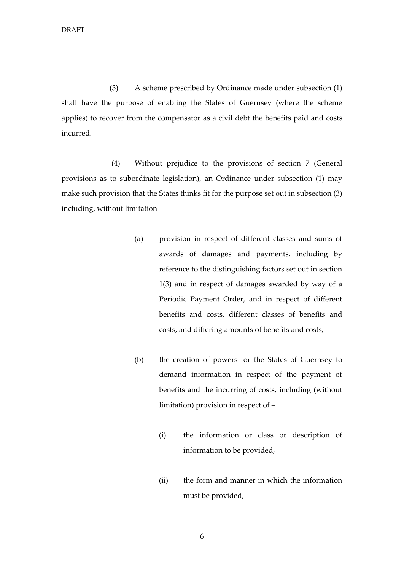(3) A scheme prescribed by Ordinance made under subsection (1) shall have the purpose of enabling the States of Guernsey (where the scheme applies) to recover from the compensator as a civil debt the benefits paid and costs incurred.

(4) Without prejudice to the provisions of section 7 (General provisions as to subordinate legislation), an Ordinance under subsection (1) may make such provision that the States thinks fit for the purpose set out in subsection (3) including, without limitation –

- (a) provision in respect of different classes and sums of awards of damages and payments, including by reference to the distinguishing factors set out in section 1(3) and in respect of damages awarded by way of a Periodic Payment Order, and in respect of different benefits and costs, different classes of benefits and costs, and differing amounts of benefits and costs,
- (b) the creation of powers for the States of Guernsey to demand information in respect of the payment of benefits and the incurring of costs, including (without limitation) provision in respect of –
	- (i) the information or class or description of information to be provided,
	- (ii) the form and manner in which the information must be provided,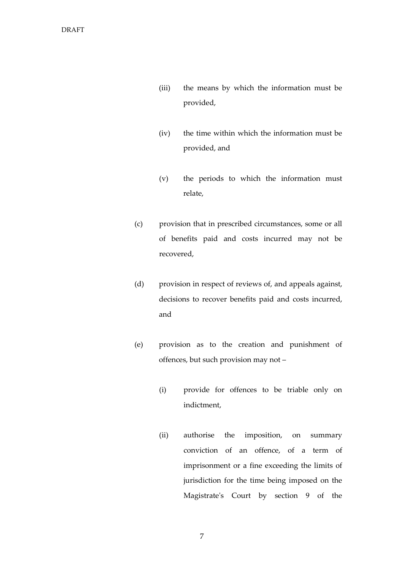- (iii) the means by which the information must be provided,
- (iv) the time within which the information must be provided, and
- (v) the periods to which the information must relate,
- (c) provision that in prescribed circumstances, some or all of benefits paid and costs incurred may not be recovered,
- (d) provision in respect of reviews of, and appeals against, decisions to recover benefits paid and costs incurred, and
- (e) provision as to the creation and punishment of offences, but such provision may not –
	- (i) provide for offences to be triable only on indictment,
	- (ii) authorise the imposition, on summary conviction of an offence, of a term of imprisonment or a fine exceeding the limits of jurisdiction for the time being imposed on the Magistrate's Court by section 9 of the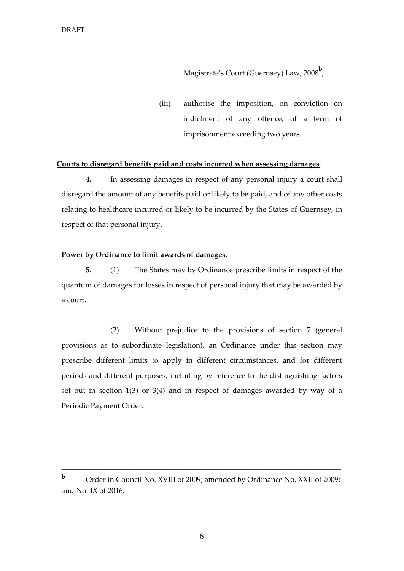Magistrate's Court (Guernsey) Law, 2008**<sup>b</sup>** ,

(iii) authorise the imposition, on conviction on indictment of any offence, of a term of imprisonment exceeding two years.

#### **Courts to disregard benefits paid and costs incurred when assessing damages**.

**4.** In assessing damages in respect of any personal injury a court shall disregard the amount of any benefits paid or likely to be paid, and of any other costs relating to healthcare incurred or likely to be incurred by the States of Guernsey, in respect of that personal injury.

#### **Power by Ordinance to limit awards of damages.**

**5.** (1) The States may by Ordinance prescribe limits in respect of the quantum of damages for losses in respect of personal injury that may be awarded by a court.

(2) Without prejudice to the provisions of section 7 (general provisions as to subordinate legislation), an Ordinance under this section may prescribe different limits to apply in different circumstances, and for different periods and different purposes, including by reference to the distinguishing factors set out in section 1(3) or 3(4) and in respect of damages awarded by way of a Periodic Payment Order.

\_\_\_\_\_\_\_\_\_\_\_\_\_\_\_\_\_\_\_\_\_\_\_\_\_\_\_\_\_\_\_\_\_\_\_\_\_\_\_\_\_\_\_\_\_\_\_\_\_\_\_\_\_\_\_\_\_\_\_\_\_\_\_\_\_\_\_\_\_

**b** Order in Council No. XVIII of 2009; amended by Ordinance No. XXII of 2009; and No. IX of 2016.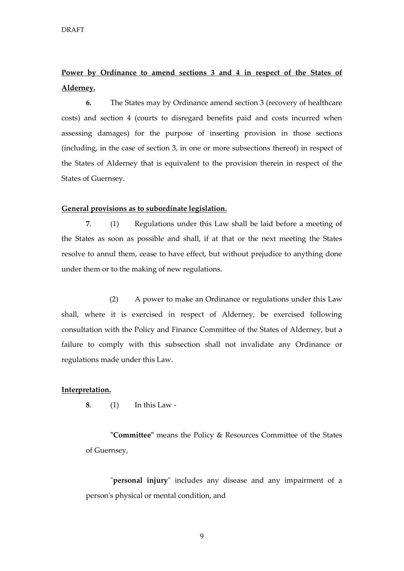### **Power by Ordinance to amend sections 3 and 4 in respect of the States of Alderney.**

**6.** The States may by Ordinance amend section 3 (recovery of healthcare costs) and section 4 (courts to disregard benefits paid and costs incurred when assessing damages) for the purpose of inserting provision in those sections (including, in the case of section 3, in one or more subsections thereof) in respect of the States of Alderney that is equivalent to the provision therein in respect of the States of Guernsey.

#### **General provisions as to subordinate legislation.**

**7**. (1) Regulations under this Law shall be laid before a meeting of the States as soon as possible and shall, if at that or the next meeting the States resolve to annul them, cease to have effect, but without prejudice to anything done under them or to the making of new regulations.

(2) A power to make an Ordinance or regulations under this Law shall, where it is exercised in respect of Alderney, be exercised following consultation with the Policy and Finance Committee of the States of Alderney, but a failure to comply with this subsection shall not invalidate any Ordinance or regulations made under this Law.

#### **Interpretation.**

**8**. (1) In this Law -

**"Committee"** means the Policy & Resources Committee of the States of Guernsey,

"**personal injury**" includes any disease and any impairment of a person's physical or mental condition, and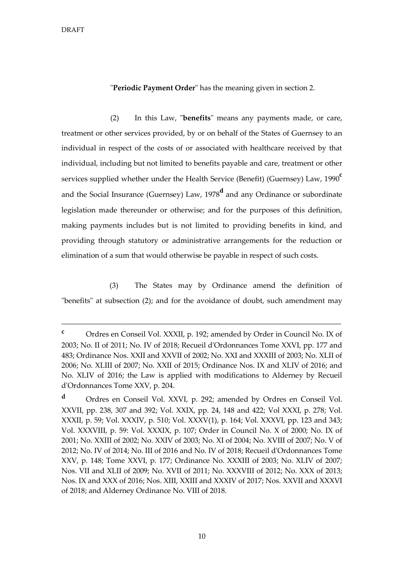"**Periodic Payment Order**" has the meaning given in section 2.

(2) In this Law, "**benefits**" means any payments made, or care, treatment or other services provided, by or on behalf of the States of Guernsey to an individual in respect of the costs of or associated with healthcare received by that individual, including but not limited to benefits payable and care, treatment or other services supplied whether under the Health Service (Benefit) (Guernsey) Law, 1990**<sup>c</sup>** and the Social Insurance (Guernsey) Law, 1978**<sup>d</sup>** and any Ordinance or subordinate legislation made thereunder or otherwise; and for the purposes of this definition, making payments includes but is not limited to providing benefits in kind, and providing through statutory or administrative arrangements for the reduction or elimination of a sum that would otherwise be payable in respect of such costs.

(3) The States may by Ordinance amend the definition of "benefits" at subsection (2); and for the avoidance of doubt, such amendment may

\_\_\_\_\_\_\_\_\_\_\_\_\_\_\_\_\_\_\_\_\_\_\_\_\_\_\_\_\_\_\_\_\_\_\_\_\_\_\_\_\_\_\_\_\_\_\_\_\_\_\_\_\_\_\_\_\_\_\_\_\_\_\_\_\_\_\_\_\_

**<sup>c</sup>** Ordres en Conseil Vol. XXXII, p. 192; amended by Order in Council No. IX of 2003; No. II of 2011; No. IV of 2018; Recueil d'Ordonnances Tome XXVI, pp. 177 and 483; Ordinance Nos. XXII and XXVII of 2002; No. XXI and XXXIII of 2003; No. XLII of 2006; No. XLIII of 2007; No. XXII of 2015; Ordinance Nos. IX and XLIV of 2016; and No. XLIV of 2016; the Law is applied with modifications to Alderney by Recueil d'Ordonnances Tome XXV, p. 204.

**<sup>d</sup>** Ordres en Conseil Vol. XXVI, p. 292; amended by Ordres en Conseil Vol. XXVII, pp. 238, 307 and 392; Vol. XXIX, pp. 24, 148 and 422; Vol XXXI, p. 278; Vol. XXXII, p. 59; Vol. XXXIV, p. 510; Vol. XXXV(1), p. 164; Vol. XXXVI, pp. 123 and 343; Vol. XXXVIII, p. 59: Vol. XXXIX, p. 107; Order in Council No. X of 2000; No. IX of 2001; No. XXIII of 2002; No. XXIV of 2003; No. XI of 2004; No. XVIII of 2007; No. V of 2012; No. IV of 2014; No. III of 2016 and No. IV of 2018; Recueil d'Ordonnances Tome XXV, p. 148; Tome XXVI, p. 177; Ordinance No. XXXIII of 2003; No. XLIV of 2007; Nos. VII and XLII of 2009; No. XVII of 2011; No. XXXVIII of 2012; No. XXX of 2013; Nos. IX and XXX of 2016; Nos. XIII, XXIII and XXXIV of 2017; Nos. XXVII and XXXVI of 2018; and Alderney Ordinance No. VIII of 2018.